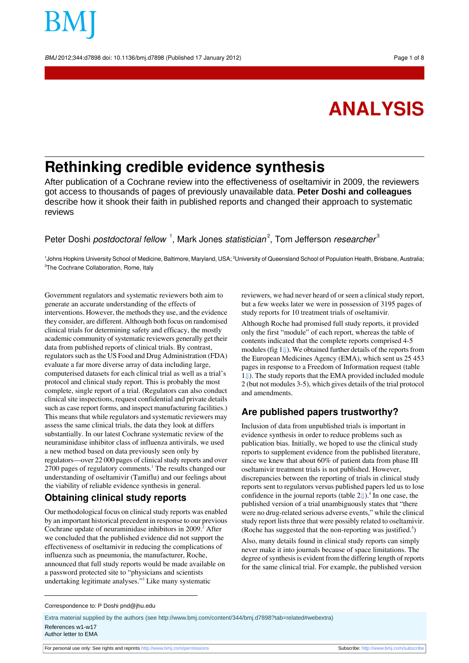BMJ 2012:344:d7898 doi: 10.1136/bmi.d7898 (Published 17 January 2012) Page 1 of 8

# **ANALYSIS**

# **Rethinking credible evidence synthesis**

After publication of a Cochrane review into the effectiveness of oseltamivir in 2009, the reviewers got access to thousands of pages of previously unavailable data. **Peter Doshi and colleagues** describe how it shook their faith in published reports and changed their approach to systematic reviews

Peter Doshi *postdoctoral fellow* <sup>1</sup>, Mark Jones *statistician*<sup>2</sup>, Tom Jefferson *researcher*<sup>3</sup>

1 Johns Hopkins University School of Medicine, Baltimore, Maryland, USA; <sup>2</sup>University of Queensland School of Population Health, Brisbane, Australia; <sup>3</sup>The Cochrane Collaboration, Rome, Italy

Government regulators and systematic reviewers both aim to generate an accurate understanding of the effects of interventions. However, the methods they use, and the evidence they consider, are different. Although both focus on randomised clinical trials for determining safety and efficacy, the mostly academic community of systematic reviewers generally get their data from published reports of clinical trials. By contrast, regulators such as the US Food and Drug Administration (FDA) evaluate a far more diverse array of data including large, computerised datasets for each clinical trial as well as a trial's protocol and clinical study report. This is probably the most complete, single report of a trial. (Regulators can also conduct clinical site inspections, request confidential and private details such as case report forms, and inspect manufacturing facilities.) This means that while regulators and systematic reviewers may assess the same clinical trials, the data they look at differs substantially. In our latest Cochrane systematic review of the neuraminidase inhibitor class of influenza antivirals, we used a new method based on data previously seen only by regulators—over 22 000 pages of clinical study reports and over 2700 pages of regulatory comments.<sup>1</sup> The results changed our understanding of oseltamivir (Tamiflu) and our feelings about the viability of reliable evidence synthesis in general.

### **Obtaining clinical study reports**

Our methodological focus on clinical study reports was enabled by an important historical precedent in response to our previous Cochrane update of neuraminidase inhibitors in 2009.<sup>2</sup> After we concluded that the published evidence did not support the effectiveness of oseltamivir in reducing the complications of influenza such as pneumonia, the manufacturer, Roche, announced that full study reports would be made available on a password protected site to "physicians and scientists undertaking legitimate analyses."<sup>3</sup> Like many systematic

reviewers, we had never heard of or seen a clinical study report, but a few weeks later we were in possession of 3195 pages of study reports for 10 treatment trials of oseltamivir.

Although Roche had promised full study reports, it provided only the first "module" of each report, whereas the table of contents indicated that the complete reports comprised 4-5 modules (fig  $1 \downarrow$ ). We obtained further details of the reports from the European Medicines Agency (EMA), which sent us 25 453 pages in response to a Freedom of Information request (table [1⇓](#page-4-0)). The study reports that the EMA provided included module 2 (but not modules 3-5), which gives details of the trial protocol and amendments.

## **Are published papers trustworthy?**

Inclusion of data from unpublished trials is important in evidence synthesis in order to reduce problems such as publication bias. Initially, we hoped to use the clinical study reports to supplement evidence from the published literature, since we knew that about 60% of patient data from phase III oseltamivir treatment trials is not published. However, discrepancies between the reporting of trials in clinical study reports sent to regulators versus published papers led us to lose confidence in the journal reports (table  $2\ell$ ).<sup>4</sup> In one case, the published version of a trial unambiguously states that "there were no drug-related serious adverse events," while the clinical study report lists three that were possibly related to oseltamivir. (Roche has suggested that the non-reporting was justified.<sup>5</sup>)

Also, many details found in clinical study reports can simply never make it into journals because of space limitations. The degree of synthesis is evident from the differing length of reports for the same clinical trial. For example, the published version

Author letter to EMA

For personal use only: See rights and reprints<http://www.bmj.com/permissions> Subscribe: <http://www.bmj.com/subscribe>

Correspondence to: P Doshi pnd@jhu.edu

Extra material supplied by the authors (see [http://www.bmj.com/content/344/bmj.d7898?tab=related#webextra\)](http://www.bmj.com/content/344/bmj.d7898?tab=related#webextra) References w1-w17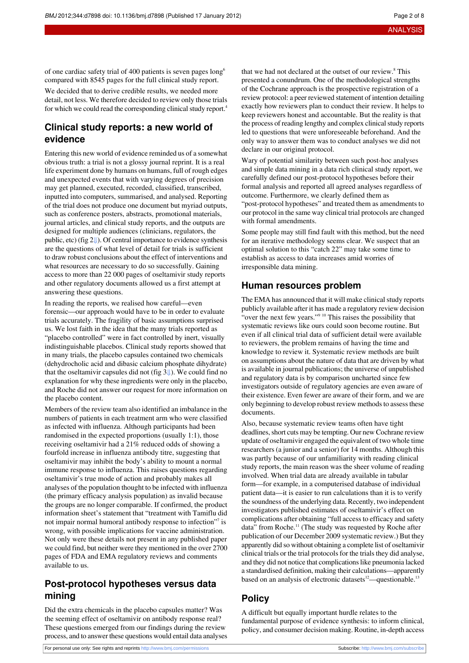of one cardiac safety trial of 400 patients is seven pages long<sup>6</sup> compared with 8545 pages for the full clinical study report.

We decided that to derive credible results, we needed more detail, not less. We therefore decided to review only those trials for which we could read the corresponding clinical study report.<sup>4</sup>

## **Clinical study reports: a new world of evidence**

Entering this new world of evidence reminded us of a somewhat obvious truth: a trial is not a glossy journal reprint. It is a real life experiment done by humans on humans, full of rough edges and unexpected events that with varying degrees of precision may get planned, executed, recorded, classified, transcribed, inputted into computers, summarised, and analysed. Reporting of the trial does not produce one document but myriad outputs, such as conference posters, abstracts, promotional materials, journal articles, and clinical study reports, and the outputs are designed for multiple audiences (clinicians, regulators, the public, etc) (fig 2[⇓\)](#page-6-1). Of central importance to evidence synthesis are the questions of what level of detail for trials is sufficient to draw robust conclusions about the effect of interventions and what resources are necessary to do so successfully. Gaining access to more than 22 000 pages of oseltamivir study reports and other regulatory documents allowed us a first attempt at answering these questions.

In reading the reports, we realised how careful—even forensic—our approach would have to be in order to evaluate trials accurately. The fragility of basic assumptions surprised us. We lost faith in the idea that the many trials reported as "placebo controlled" were in fact controlled by inert, visually indistinguishable placebos. Clinical study reports showed that in many trials, the placebo capsules contained two chemicals (dehydrocholic acid and dibasic calcium phosphate dihydrate) that the oseltamivir capsules did not (fig 3[⇓\)](#page-7-0). We could find no explanation for why these ingredients were only in the placebo, and Roche did not answer our request for more information on the placebo content.

Members of the review team also identified an imbalance in the numbers of patients in each treatment arm who were classified as infected with influenza. Although participants had been randomised in the expected proportions (usually 1:1), those receiving oseltamivir had a 21% reduced odds of showing a fourfold increase in influenza antibody titre, suggesting that oseltamivir may inhibit the body's ability to mount a normal immune response to influenza. This raises questions regarding oseltamivir's true mode of action and probably makes all analyses of the population thought to be infected with influenza (the primary efficacy analysis population) as invalid because the groups are no longer comparable. If confirmed, the product information sheet's statement that "treatment with Tamiflu did not impair normal humoral antibody response to infection"<sup>7</sup> is wrong, with possible implications for vaccine administration. Not only were these details not present in any published paper we could find, but neither were they mentioned in the over 2700 pages of FDA and EMA regulatory reviews and comments available to us.

## **Post-protocol hypotheses versus data mining**

Did the extra chemicals in the placebo capsules matter? Was the seeming effect of oseltamivir on antibody response real? These questions emerged from our findings during the review process, and to answer these questions would entail data analyses that we had not declared at the outset of our review.<sup>8</sup> This presented a conundrum. One of the methodological strengths of the Cochrane approach is the prospective registration of a review protocol: a peer reviewed statement of intention detailing exactly how reviewers plan to conduct their review. It helps to keep reviewers honest and accountable. But the reality is that the process of reading lengthy and complex clinical study reports led to questions that were unforeseeable beforehand. And the only way to answer them was to conduct analyses we did not declare in our original protocol.

Wary of potential similarity between such post-hoc analyses and simple data mining in a data rich clinical study report, we carefully defined our post-protocol hypotheses before their formal analysis and reported all agreed analyses regardless of outcome. Furthermore, we clearly defined them as "post-protocol hypotheses" and treated them as amendments to our protocol in the same way clinical trial protocols are changed with formal amendments.

Some people may still find fault with this method, but the need for an iterative methodology seems clear. We suspect that an optimal solution to this "catch 22" may take some time to establish as access to data increases amid worries of irresponsible data mining.

## **Human resources problem**

The EMA has announced that it will make clinical study reports publicly available after it has made a regulatory review decision "over the next few years."<sup>9 10</sup> This raises the possibility that systematic reviews like ours could soon become routine. But even if all clinical trial data of sufficient detail were available to reviewers, the problem remains of having the time and knowledge to review it. Systematic review methods are built on assumptions about the nature of data that are driven by what is available in journal publications; the universe of unpublished and regulatory data is by comparison uncharted since few investigators outside of regulatory agencies are even aware of their existence. Even fewer are aware of their form, and we are only beginning to develop robust review methods to assess these documents.

Also, because systematic review teams often have tight deadlines, short cuts may be tempting. Our new Cochrane review update of oseltamivir engaged the equivalent of two whole time researchers (a junior and a senior) for 14 months. Although this was partly because of our unfamiliarity with reading clinical study reports, the main reason was the sheer volume of reading involved. When trial data are already available in tabular form—for example, in a computerised database of individual patient data—it is easier to run calculations than it is to verify the soundness of the underlying data. Recently, two independent investigators published estimates of oseltamivir's effect on complications after obtaining "full accessto efficacy and safety data" from Roche.<sup>11</sup> (The study was requested by Roche after publication of our December 2009 systematic review.) But they apparently did so without obtaining a complete list of oseltamivir clinical trials or the trial protocols for the trials they did analyse, and they did not notice that complications like pneumonia lacked a standardised definition, making their calculations—apparently based on an analysis of electronic datasets<sup>12</sup>—questionable.<sup>13</sup>

## **Policy**

A difficult but equally important hurdle relates to the fundamental purpose of evidence synthesis: to inform clinical, policy, and consumer decision making. Routine, in-depth access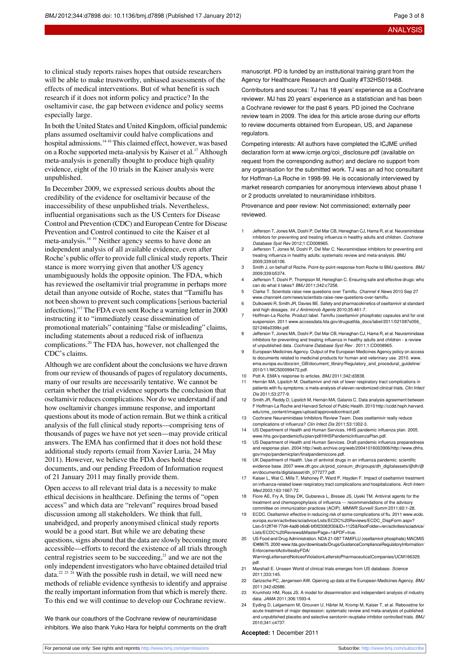to clinical study reports raises hopes that outside researchers will be able to make trustworthy, unbiased assessments of the effects of medical interventions. But of what benefit is such research if it does not inform policy and practice? In the oseltamivir case, the gap between evidence and policy seems especially large.

In both the United States and United Kingdom, official pandemic plans assumed oseltamivir could halve complications and hospital admissions.14-16 This claimed effect, however, was based on a Roche supported meta-analysis by Kaiser et al.<sup>17</sup> Although meta-analysis is generally thought to produce high quality evidence, eight of the 10 trials in the Kaiser analysis were unpublished.

In December 2009, we expressed serious doubts about the credibility of the evidence for oseltamivir because of the inaccessibility of these unpublished trials. Nevertheless, influential organisations such as the US Centers for Disease Control and Prevention (CDC) and European Centre for Disease Prevention and Control continued to cite the Kaiser et al meta-analysis.<sup>18</sup> <sup>19</sup> Neither agency seems to have done an independent analysis of all available evidence, even after Roche's public offer to provide full clinical study reports. Their stance is more worrying given that another US agency unambiguously holds the opposite opinion. The FDA, which has reviewed the oseltamivir trial programme in perhaps more detail than anyone outside of Roche, states that "Tamiflu has not been shown to prevent such complications [serious bacterial infections]."<sup>7</sup> The FDA even sent Roche a warning letter in 2000 instructing it to "immediately cease dissemination of promotional materials" containing "false or misleading" claims, including statements about a reduced risk of influenza complications.<sup>20</sup> The FDA has, however, not challenged the CDC's claims.

Although we are confident about the conclusions we have drawn from our review of thousands of pages of regulatory documents, many of our results are necessarily tentative. We cannot be certain whether the trial evidence supports the conclusion that oseltamivir reduces complications. Nor do we understand if and how oseltamivir changes immune response, and important questions about its mode of action remain. But we think a critical analysis of the full clinical study reports—comprising tens of thousands of pages we have not yet seen—may provide critical answers. The EMA has confirmed that it does not hold these additional study reports (email from Xavier Luria, 24 May 2011). However, we believe the FDA does hold these documents, and our pending Freedom of Information request of 21 January 2011 may finally provide them.

Open access to all relevant trial data is a necessity to make ethical decisions in healthcare. Defining the terms of "open access" and which data are "relevant" requires broad based discussion among all stakeholders. We think that full, unabridged, and properly anonymised clinical study reports would be a good start. But while we are debating these questions, signs abound that the data are slowly becoming more accessible—efforts to record the existence of all trials through central registries seem to be succeeding, $21$  and we are not the only independent investigators who have obtained detailed trial data.<sup>22 23 24</sup> With the possible rush in detail, we will need new methods of reliable evidence synthesis to identify and appraise the really important information from that which is merely there. To this end we will continue to develop our Cochrane review.

We thank our coauthors of the Cochrane review of neuraminidase inhibitors. We also thank Yuko Hara for helpful comments on the draft manuscript. PD is funded by an institutional training grant from the Agency for Healthcare Research and Quality #T32HS019488.

Contributors and sources: TJ has 18 years' experience as a Cochrane reviewer. MJ has 20 years' experience as a statistician and has been a Cochrane reviewer for the past 6 years. PD joined the Cochrane review team in 2009. The idea for this article arose during our efforts to review documents obtained from European, US, and Japanese regulators.

Competing interests: All authors have completed the ICJME unified declaration form at [www.icmje.org/coi\\_disclosure.pdf](http://www.icmje.org/coi_disclosure.pdf) (available on request from the corresponding author) and declare no support from any organisation for the submitted work. TJ was an ad hoc consultant for Hoffman-La Roche in 1998-99. He is occasionally interviewed by market research companies for anonymous interviews about phase 1 or 2 products unrelated to neuraminidase inhibitors.

Provenance and peer review: Not commissioned; externally peer reviewed.

- 1 Jefferson T, Jones MA, Doshi P, Del Mar CB, Heneghan CJ, Hama R, et al. Neuraminidase inhibitors for preventing and treating influenza in healthy adults and children. Cochrane Database Syst Rev 2012;1:CD008965.
- 2 Jefferson T, Jones M, Doshi P, Del Mar C. Neuraminidase inhibitors for preventing and treating influenza in healthy adults: systematic review and meta-analysis. BMJ 2009;339:b5106.
- 3 Smith J, on behalf of Roche. Point-by-point response from Roche to BMJ questions. BMJ 2009;339:b5374.
- 4 Jefferson T, Doshi P, Thompson M, Heneghan C. Ensuring safe and effective drugs: who can do what it takes? BMJ 2011;342:c7258.
- 5 Clarke T. Scientists raise new questions over Tamiflu. Channel 4 News 2010 Sep 27 [www.channel4.com/news/scientists-raise-new-questions-over-tamiflu](http://www.channel4.com/news/scientists-raise-new-questions-over-tamiflu).
- 6 Dutkowski R, Smith JR, Davies BE. Safety and pharmacokinetics of oseltamivir at standard and high dosages. Int J Antimicrob Agents 2010;35:461-7.
- 7 Hoffman-La Roche. Product label. Tamiflu (oseltamivir phosphate) capsules and for oral suspension. 2011 [www.accessdata.fda.gov/drugsatfda\\_docs/label/2011/021087s056\\_](http://www.accessdata.fda.gov/drugsatfda_docs/label/2011/021087s056_021246s039lbl.pdf) [021246s039lbl.pdf.](http://www.accessdata.fda.gov/drugsatfda_docs/label/2011/021087s056_021246s039lbl.pdf)
- 8 Jefferson T, Jones MA, Doshi P, Del Mar CB, Heneghan CJ, Hama R, et al. Neuraminidase inhibitors for preventing and treating influenza in healthy adults and children - a review of unpublished data. Cochrane Database Syst Rev . 2011;1:CD008965.
- 9 European Medicines Agency. Output of the European Medicines Agency policy on access to documents related to medicinal products for human and veterinary use. 2010. [www.](http://www.ema.europa.eu/docs/en_GB/document_library/Regulatory_and_procedural_guideline/2010/11/WC500099472.pdf) [ema.europa.eu/docs/en\\_GB/document\\_library/Regulatory\\_and\\_procedural\\_guideline/](http://www.ema.europa.eu/docs/en_GB/document_library/Regulatory_and_procedural_guideline/2010/11/WC500099472.pdf) [2010/11/WC500099472.pdf.](http://www.ema.europa.eu/docs/en_GB/document_library/Regulatory_and_procedural_guideline/2010/11/WC500099472.pdf)
- 10 Pott A. EMA's response to articles. BMJ 2011;342:d3838.
- Hernán MA, Lipsitch M. Oseltamivir and risk of lower respiratory tract complications in patients with flu symptoms: a meta-analysis of eleven randomized clinical trials. Clin Infect Dis 2011;53:277-9.
- 12 Smith JR, Reddy D, Lipsitch M, Hernán MA, Galanis C. Data analysis agreement between F Hoffman-La Roche and Harvard School of Public Health. 2010 [http://ccdd.hsph.harvard.](http://ccdd.hsph.harvard.edu/cms_content/images/upload/approvedcontract.pdf) [edu/cms\\_content/images/upload/approvedcontract.pdf](http://ccdd.hsph.harvard.edu/cms_content/images/upload/approvedcontract.pdf).
- 13 Cochrane Neuraminidase Inhibitors Review Team. Does oseltamivir really reduce complications of influenza? Clin Infect Dis 2011;53:1302-3.
- 14 US Department of Health and Human Services. HHS pandemic influenza plan. 2005. [www.hhs.gov/pandemicflu/plan/pdf/HHSPandemicInfluenzaPlan.pdf.](http://www.hhs.gov/pandemicflu/plan/pdf/HHSPandemicInfluenzaPlan.pdf)
- 15 US Department of Health and Human Services. Draft pandemic influenza preparedness and response plan. 2004 [http://web.archive.org/web/20041016003906/http://www.dhhs.](http://web.archive.org/web/20041016003906/http://www.dhhs.gov/nvpo/pandemicplan/finalpandemiccore.pdf) [gov/nvpo/pandemicplan/finalpandemiccore.pdf.](http://web.archive.org/web/20041016003906/http://www.dhhs.gov/nvpo/pandemicplan/finalpandemiccore.pdf)
- 16 UK Department of Health. Use of antiviral drugs in an influenza pandemic: scientific evidence base. 2007 [www.dh.gov.uk/prod\\_consum\\_dh/groups/dh\\_digitalassets/@dh/@](http://www.dh.gov.uk/prod_consum_dh/groups/dh_digitalassets/@dh/@en/documents/digitalasset/dh_077277.pdf) [en/documents/digitalasset/dh\\_077277.pdf.](http://www.dh.gov.uk/prod_consum_dh/groups/dh_digitalassets/@dh/@en/documents/digitalasset/dh_077277.pdf)
- 17 Kaiser L, Wat C, Mills T, Mahoney P, Ward P, Hayden F. Impact of oseltamivir treatment on influenza-related lower respiratory tract complications and hospitalizations. Arch Intern Med 2003;163:1667-72.
- 18 Fiore AE, Fry A, Shay DK, Gubareva L, Bresee JS, Uyeki TM. Antiviral agents for the treatment and chemoprophylaxis of influenza --- recommendations of the advisory committee on immunization practices (ACIP). MMWR Surveill Summ 2011;60:1-28.
- 19 ECDC. Oseltamivir effective in reducing risk of some complications of flu. 2011 [www.ecdc.](http://www.ecdc.europa.eu/en/activities/sciadvice/Lists/ECDC%20Reviews/ECDC_DispForm.aspx?List=512ff74f-77d4-4ad8-b6d6-bf0f23083f30&ID=1125&RootFolder=/en/activities/sciadvice/Lists/ECDC%20Reviews&MasterPage=1&PDF=true) [europa.eu/en/activities/sciadvice/Lists/ECDC%20Reviews/ECDC\\_DispForm.aspx?](http://www.ecdc.europa.eu/en/activities/sciadvice/Lists/ECDC%20Reviews/ECDC_DispForm.aspx?List=512ff74f-77d4-4ad8-b6d6-bf0f23083f30&ID=1125&RootFolder=/en/activities/sciadvice/Lists/ECDC%20Reviews&MasterPage=1&PDF=true) [List=512ff74f-77d4-4ad8-b6d6-bf0f23083f30&ID=1125&RootFolder=/en/activities/sciadvice/](http://www.ecdc.europa.eu/en/activities/sciadvice/Lists/ECDC%20Reviews/ECDC_DispForm.aspx?List=512ff74f-77d4-4ad8-b6d6-bf0f23083f30&ID=1125&RootFolder=/en/activities/sciadvice/Lists/ECDC%20Reviews&MasterPage=1&PDF=true) [Lists/ECDC%20Reviews&MasterPage=1&PDF=true.](http://www.ecdc.europa.eu/en/activities/sciadvice/Lists/ECDC%20Reviews/ECDC_DispForm.aspx?List=512ff74f-77d4-4ad8-b6d6-bf0f23083f30&ID=1125&RootFolder=/en/activities/sciadvice/Lists/ECDC%20Reviews&MasterPage=1&PDF=true)
- 20 US Food and Drug Administration. NDA 21-087 TAMIFLU (oseltamivir phosphate) MACMIS ID#8675. 2000 [www.fda.gov/downloads/Drugs/GuidanceComplianceRegulatoryInformation/](http://www.fda.gov/downloads/Drugs/GuidanceComplianceRegulatoryInformation/EnforcementActivitiesbyFDA/WarningLettersandNoticeofViolationLetterstoPharmaceuticalCompanies/UCM166329.pdf) [EnforcementActivitiesbyFDA/](http://www.fda.gov/downloads/Drugs/GuidanceComplianceRegulatoryInformation/EnforcementActivitiesbyFDA/WarningLettersandNoticeofViolationLetterstoPharmaceuticalCompanies/UCM166329.pdf) [WarningLettersandNoticeofViolationLetterstoPharmaceuticalCompanies/UCM166329.](http://www.fda.gov/downloads/Drugs/GuidanceComplianceRegulatoryInformation/EnforcementActivitiesbyFDA/WarningLettersandNoticeofViolationLetterstoPharmaceuticalCompanies/UCM166329.pdf)
- [pdf.](http://www.fda.gov/downloads/Drugs/GuidanceComplianceRegulatoryInformation/EnforcementActivitiesbyFDA/WarningLettersandNoticeofViolationLetterstoPharmaceuticalCompanies/UCM166329.pdf)<br>21 Marshall E. Unseen World of clinical trials emerges from US database. Science
- 2011;333:145.
- 22 Gøtzsche PC, Jørgensen AW. Opening up data at the European Medicines Agency. BMJ 2011;342:d2686.
- 23 Krumholz HM, Ross JS. A model for dissemination and independent analysis of industry data. JAMA 2011;306:1593-4.
- 24 Eyding D, Lelgemann M, Grouven U, Härter M, Kromp M, Kaiser T, et al. Reboxetine for acute treatment of major depression: systematic review and meta-analysis of published and unpublished placebo and selective serotonin reuptake inhibitor controlled trials. BMJ 2010;341:c4737.

#### **Accepted:** 1 December 2011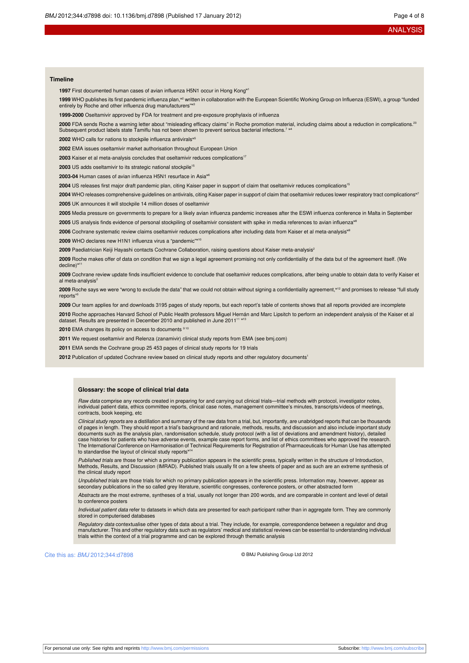#### **Timeline**

1997 First documented human cases of avian influenza H5N1 occur in Hong Kong<sup>w1</sup>

1999 WHO publishes its first pandemic influenza plan,<sup>w2</sup> written in collaboration with the European Scientific Working Group on Influenza (ESWI), a group "funded entirely by Roche and other influenza drug manufacturers

**1999-2000** Oseltamivir approved by FDA for treatment and pre-exposure prophylaxis of influenza

**2000** FDA sends Roche a warning letter about "misleading efficacy claims" in Roche promotion material, including claims about a reduction in complications.<sup>20</sup> Subsequent product labels state Tamiflu has not been shown to prevent serious bacterial infections.

2002 WHO calls for nations to stockpile influenza antivirals<sup>w5</sup>

**2002** EMA issues oseltamivir market authorisation throughout European Union

2003 Kaiser et al meta-analysis concludes that oseltamivir reduces complications<sup>17</sup>

2003 US adds oseltamivir to its strategic national stockpile<sup>15</sup>

**2003-04** Human cases of avian influenza H5N1 resurface in Asiaw6

2004 US releases first major draft pandemic plan, citing Kaiser paper in support of claim that oseltamivir reduces complications<sup>15</sup>

2004 WHO releases comprehensive guidelines on antivirals, citing Kaiser paper in support of claim that oseltamivir reduces lower respiratory tract complications<sup>w7</sup> **2005** UK announces it will stockpile 14 million doses of oseltamivir

**2005** Media pressure on governments to prepare for a likely avian influenza pandemic increases after the ESWI influenza conference in Malta in September

2005 US analysis finds evidence of personal stockpiling of oseltamivir consistent with spike in media references to avian influenza<sup>w8</sup>

2006 Cochrane systematic review claims oseltamivir reduces complications after including data from Kaiser et al meta-analysis<sup>wa</sup>

**2009** WHO declares new H1N1 influenza virus a "pandemic"w10

2009 Paediatrician Keiji Hayashi contacts Cochrane Collaboration, raising questions about Kaiser meta-analysis<sup>2</sup>

**2009** Roche makes offer of data on condition that we sign a legal agreement promising not only confidentiality of the data but of the agreement itself. (We decline)

**2009** Cochrane review update finds insufficient evidence to conclude that oseltamivir reduces complications, after being unable to obtain data to verify Kaiser et al meta-analysis

**2009** Roche says we were "wrong to exclude the data" that we could not obtain without signing a confidentiality agreement,<sup>w12</sup> and promises to release "full study reports"

**2009** Our team applies for and downloads 3195 pages of study reports, but each report's table of contents shows that all reports provided are incomplete

2010 Roche approaches Harvard School of Public Health professors Miguel Hernán and Marc Lipsitch to perform an independent analysis of the Kaiser et al<br>dataset. Results are presented in December 2010 and published in June

**2010** EMA changes its policy on access to documents <sup>9 10</sup>

**2011** We request oseltamivir and Relenza (zanamivir) clinical study reports from EMA (see bmj.com)

**2011** EMA sends the Cochrane group 25 453 pages of clinical study reports for 19 trials

2012 Publication of updated Cochrane review based on clinical study reports and other regulatory documents<sup>1</sup>

#### **Glossary: the scope of clinical trial data**

Raw data comprise any records created in preparing for and carrying out clinical trials-trial methods with protocol, investigator notes, individual patient data, ethics committee reports, clinical case notes, management committee's minutes, transcripts/videos of meetings, contracts, book keeping, etc

Clinical study reports are a distillation and summary of the raw data from a trial, but, importantly, are unabridged reports that can be thousands of pages in length. They should report a trial's background and rationale, methods, results, and discussion and also include important study documents such as the analysis plan, randomisation schedule, study protocol (with a list of deviations and amendment history), detailed case histories for patients who have adverse events, example case report forms, and list of ethics committees who approved the research. The International Conference on Harmonisation of Technical Requirements for Registration of Pharmaceuticals for Human Use has attempted to standardise the layout of clinical study reports

*Published trials* are those for which a primary publication appears in the scientific press, typically written in the structure of Introduction,<br>Methods, Results, and Discussion (IMRAD). Published trials usually fit on a the clinical study report

Unpublished trials are those trials for which no primary publication appears in the scientific press. Information may, however, appear as secondary publications in the so called grey literature, scientific congresses, conference posters, or other abstracted form

Abstracts are the most extreme, syntheses of a trial, usually not longer than 200 words, and are comparable in content and level of detail to conference posters

Individual patient data refer to datasets in which data are presented for each participant rather than in aggregate form. They are commonly stored in computerised database

Regulatory data contextualise other types of data about a trial. They include, for example, correspondence between a regulator and drug manufacturer. This and other regulatory data such as regulators' medical and statistical reviews can be essential to understanding individual trials within the context of a trial programme and can be explored through thematic analysis

Cite this as: BMJ 2012;344:d7898 © BMJ Publishing Group Ltd 2012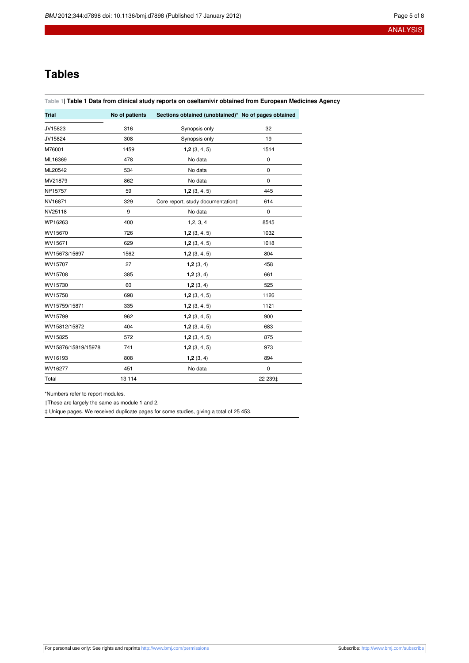## **Tables**

#### <span id="page-4-0"></span>**Table 1| Table 1 Data from clinical study reports on oseltamivir obtained from European Medicines Agency**

| <b>Trial</b>        | No of patients | Sections obtained (unobtained)* No of pages obtained |             |
|---------------------|----------------|------------------------------------------------------|-------------|
| JV15823             | 316            | Synopsis only                                        | 32          |
| JV15824             | 308            | Synopsis only                                        | 19          |
| M76001              | 1459           | $1,2$ $(3, 4, 5)$                                    | 1514        |
| ML16369             | 478            | No data                                              | 0           |
| ML20542             | 534            | No data                                              | $\mathbf 0$ |
| MV21879             | 862            | No data                                              | 0           |
| NP15757             | 59             | 1,2(3, 4, 5)                                         | 445         |
| NV16871             | 329            | Core report, study documentation+                    | 614         |
| NV25118             | 9              | No data                                              | 0           |
| WP16263             | 400            | 1, 2, 3, 4                                           | 8545        |
| WV15670             | 726            | 1,2(3, 4, 5)                                         | 1032        |
| WV15671             | 629            | 1,2(3, 4, 5)                                         | 1018        |
| WV15673/15697       | 1562           | 1,2(3, 4, 5)                                         | 804         |
| WV15707             | 27             | 1,2(3, 4)                                            | 458         |
| WV15708             | 385            | 1,2(3, 4)                                            | 661         |
| WV15730             | 60             | 1,2(3, 4)                                            | 525         |
| WV15758             | 698            | 1,2(3, 4, 5)                                         | 1126        |
| WV15759/15871       | 335            | 1,2(3, 4, 5)                                         | 1121        |
| WV15799             | 962            | 1,2(3, 4, 5)                                         | 900         |
| WV15812/15872       | 404            | 1,2(3, 4, 5)                                         | 683         |
| WV15825             | 572            | 1,2(3, 4, 5)                                         | 875         |
| WV15876/15819/15978 | 741            | 1,2(3, 4, 5)                                         | 973         |
| WV16193             | 808            | 1,2(3, 4)                                            | 894         |
| WV16277             | 451            | No data                                              | $\pmb{0}$   |
| Total               | 13 1 14        |                                                      | 22 239‡     |

\*Numbers refer to report modules.

†These are largely the same as module 1 and 2.

‡ Unique pages. We received duplicate pages for some studies, giving a total of 25 453.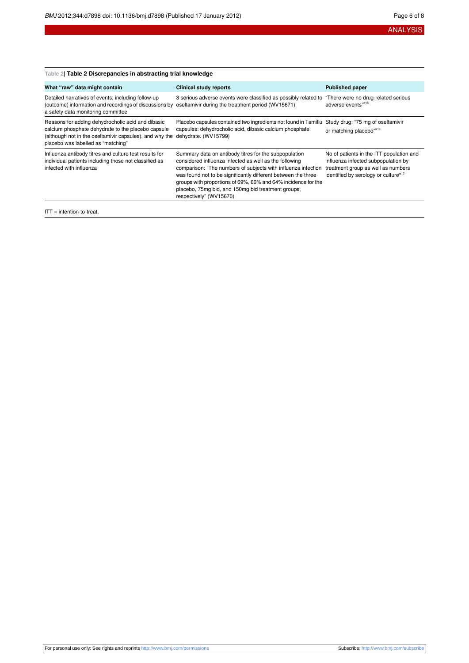### <span id="page-5-0"></span>**Table 2| Table 2 Discrepancies in abstracting trial knowledge**

| What "raw" data might contain                                                                                                                                                                                                 | Clinical study reports                                                                                                                                                                                                                                                                                                                                                                              | <b>Published paper</b>                                                                                                                                                    |
|-------------------------------------------------------------------------------------------------------------------------------------------------------------------------------------------------------------------------------|-----------------------------------------------------------------------------------------------------------------------------------------------------------------------------------------------------------------------------------------------------------------------------------------------------------------------------------------------------------------------------------------------------|---------------------------------------------------------------------------------------------------------------------------------------------------------------------------|
| Detailed narratives of events, including follow-up<br>(outcome) information and recordings of discussions by oseltamivir during the treatment period (WV15671)<br>a safety data monitoring committee                          | 3 serious adverse events were classified as possibly related to                                                                                                                                                                                                                                                                                                                                     | "There were no drug-related serious<br>adverse events" <sup>w15</sup>                                                                                                     |
| Reasons for adding dehydrocholic acid and dibasic<br>calcium phosphate dehydrate to the placebo capsule<br>(although not in the oseltamivir capsules), and why the dehydrate. (WV15799)<br>placebo was labelled as "matching" | Placebo capsules contained two ingredients not found in Tamiflu<br>capsules: dehydrocholic acid, dibasic calcium phosphate                                                                                                                                                                                                                                                                          | Study drug: "75 mg of oseltamivir<br>or matching placebo" w <sup>16</sup>                                                                                                 |
| Influenza antibody titres and culture test results for<br>individual patients including those not classified as<br>infected with influenza                                                                                    | Summary data on antibody titres for the subpopulation<br>considered influenza infected as well as the following<br>comparison: "The numbers of subjects with influenza infection<br>was found not to be significantly different between the three<br>groups with proportions of 69%, 66% and 64% incidence for the<br>placebo, 75mg bid, and 150mg bid treatment groups,<br>respectively" (WV15670) | No of patients in the ITT population and<br>influenza infected subpopulation by<br>treatment group as well as numbers<br>identified by serology or culture <sup>w17</sup> |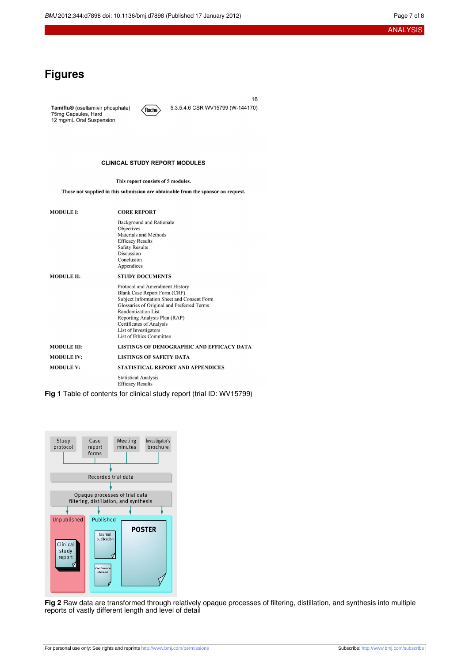## <span id="page-6-0"></span>**Figures**

Tamiflu® (oseltamivir phosphate) 75mg Capsules, Hard<br>12 mg/mL Oral Suspension

5.3.5.4.6 CSR WV15799 (W-144170)

16

#### **CLINICAL STUDY REPORT MODULES**

 $\langle$ Roche

#### This report consists of 5 modules.

Those not supplied in this submission are obtainable from the sponsor on request.

| <b>MODULE I:</b>   | <b>CORE REPORT</b>                                                                                                                                                                                                                                                                                               |  |  |
|--------------------|------------------------------------------------------------------------------------------------------------------------------------------------------------------------------------------------------------------------------------------------------------------------------------------------------------------|--|--|
|                    | <b>Background and Rationale</b><br>Objectives<br>Materials and Methods<br><b>Efficacy Results</b><br><b>Safety Results</b><br><b>Discussion</b><br>Conclusion<br>Appendices                                                                                                                                      |  |  |
| <b>MODULE II:</b>  | <b>STUDY DOCUMENTS</b>                                                                                                                                                                                                                                                                                           |  |  |
|                    | Protocol and Amendment History<br><b>Blank Case Report Form (CRF)</b><br>Subject Information Sheet and Consent Form<br>Glossaries of Original and Preferred Terms<br>Randomization List<br>Reporting Analysis Plan (RAP)<br>Certificates of Analysis<br>List of Investigators<br><b>List of Ethics Committee</b> |  |  |
| <b>MODULE III:</b> | LISTINGS OF DEMOGRAPHIC AND EFFICACY DATA                                                                                                                                                                                                                                                                        |  |  |
| <b>MODULE IV:</b>  | <b>LISTINGS OF SAFETY DATA</b>                                                                                                                                                                                                                                                                                   |  |  |
| <b>MODULE V:</b>   | STATISTICAL REPORT AND APPENDICES                                                                                                                                                                                                                                                                                |  |  |
|                    | <b>Statistical Analysis</b><br><b>Efficacy Results</b>                                                                                                                                                                                                                                                           |  |  |

<span id="page-6-1"></span>**Fig 1** Table of contents for clinical study report (trial ID: WV15799)



**Fig 2** Raw data are transformed through relatively opaque processes of filtering, distillation, and synthesis into multiple reports of vastly different length and level of detail